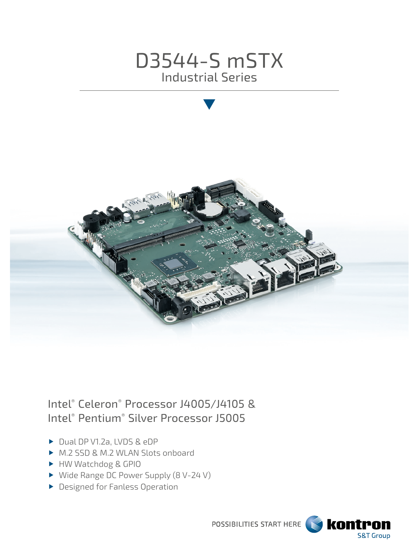



# Intel® Celeron® Processor J4005/J4105 & Intel® Pentium® Silver Processor J5005

- Dual DP V1.2a, LVDS & eDP
- ▶ M.2 SSD & M.2 WLAN Slots onboard
- HW Watchdog & GPIO
- ▶ Wide Range DC Power Supply (8 V-24 V)
- **Designed for Fanless Operation**

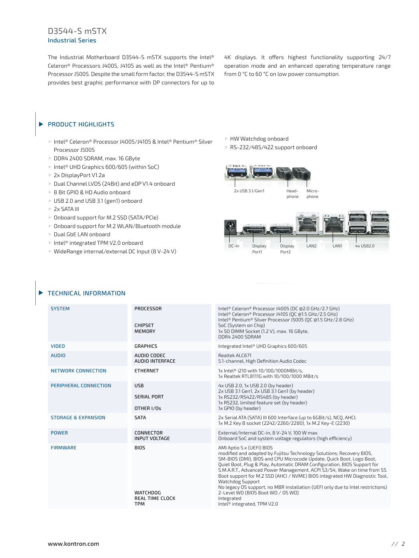### D3544-S mSTX Industrial Series

The Industrial Motherboard D3544-S mSTX supports the Intel® Celeron® Processors J4005, J4105 as well as the Intel® Pentium® Processor J5005. Despite the small form factor, the D3544-S mSTX provides best graphic performance with DP connectors for up to 4K displays. It offers highest functionality supporting 24/7 operation mode and an enhanced operating temperature range from 0 °C to 60 °C on low power consumption.

#### PRODUCT HIGHLIGHTS  $\blacktriangleright$

- Intel® Celeron® Processor J4005/J4105 & Intel® Pentium® Silver Processor J5005
- DDR4 2400 SDRAM, max. 16 GByte
- ▶ Intel<sup>®</sup> UHD Graphics 600/605 (within SoC)
- 2x DisplayPort V1.2a
- ▶ Dual Channel LVDS (24Bit) and eDP V1.4 onboard
- ▶ 8 Bit GPIO & HD Audio onboard
- ▶ USB 2.0 and USB 3.1 (gen1) onboard
- ▶ 2x SATA III
- ▶ Onboard support for M.2 SSD (SATA/PCIe)
- ▶ Onboard support for M.2 WLAN/Bluetooth module
- Dual GbE LAN onboard
- ▶ Intel<sup>®</sup> integrated TPM V2.0 onboard
- ▶ WideRange internal/external DC Input (8 V-24 V)

HW Watchdog onboard

▶ RS-232/485/422 support onboard



phone phone



#### TECHNICAL INFORMATION

| <b>SYSTEM</b>                  | <b>PROCESSOR</b><br><b>CHIPSET</b><br><b>MEMORY</b>                    | Intel® Celeron® Processor J4005 (DC @2.0 GHz/2.7 GHz)<br>Intel® Celeron® Processor J4105 (OC @1.5 GHz/2.5 GHz)<br>Intel® Pentium® Silver Processor J5005 (OC @1.5 GHz/2.8 GHz)<br>SoC (System on Chip)<br>1x SO DIMM Socket (1.2 V), max. 16 GByte,<br>DDR4 2400 SDRAM                                                                                                                                                                                                                                                                                                                                                     |
|--------------------------------|------------------------------------------------------------------------|----------------------------------------------------------------------------------------------------------------------------------------------------------------------------------------------------------------------------------------------------------------------------------------------------------------------------------------------------------------------------------------------------------------------------------------------------------------------------------------------------------------------------------------------------------------------------------------------------------------------------|
| <b>VIDEO</b>                   | <b>GRAPHICS</b>                                                        | Integrated Intel® UHD Graphics 600/605                                                                                                                                                                                                                                                                                                                                                                                                                                                                                                                                                                                     |
| <b>AUDIO</b>                   | AUDIO CODEC<br><b>AUDIO INTERFACE</b>                                  | Realtek ALC671<br>5.1-channel, High Definition Audio Codec                                                                                                                                                                                                                                                                                                                                                                                                                                                                                                                                                                 |
| NETWORK CONNECTION             | <b>ETHERNET</b>                                                        | 1x Intel® i210 with 10/100/1000MBit/s,<br>1x Realtek RTL8111G with 10/100/1000 MBit/s                                                                                                                                                                                                                                                                                                                                                                                                                                                                                                                                      |
| PERIPHERAL CONNECTION          | <b>USB</b><br><b>SERIAL PORT</b><br>OTHER I/Os                         | 4x USB 2.0, 1x USB 2.0 (by header)<br>2x USB 3.1 Gen1, 2x USB 3.1 Gen1 (by header)<br>1x RS232/RS422/RS485 (by header)<br>1x RS232, limited feature set (by header)<br>1x GPIO (by header)                                                                                                                                                                                                                                                                                                                                                                                                                                 |
| <b>STORAGE &amp; EXPANSION</b> | <b>SATA</b>                                                            | 2x Serial ATA (SATA) III 600 Interface (up to 6GBit/s), NCO, AHCI;<br>1x M.2 Key B socket (2242/2260/2280), 1x M.2 Key-E (2230)                                                                                                                                                                                                                                                                                                                                                                                                                                                                                            |
| <b>POWER</b>                   | CONNECTOR<br><b>INPUT VOLTAGE</b>                                      | External/Internal DC-in, 8 V-24 V, 100 W max.<br>Onboard SoC and system voltage regulators (high efficiency)                                                                                                                                                                                                                                                                                                                                                                                                                                                                                                               |
| <b>FIRMWARE</b>                | <b>BIOS</b><br><b>WATCHDOG</b><br><b>REAL TIME CLOCK</b><br><b>TPM</b> | AMI Aptio 5.x (UEFI) BIOS<br>modified and adapted by Fujitsu Technology Solutions; Recovery BIOS,<br>SM-BIOS (DMI), BIOS and CPU Microcode Update, Ouick Boot, Logo Boot,<br>Ouiet Boot, Plug & Play, Automatic DRAM Configuration, BIOS Support for<br>S.M.A.R.T., Advanced Power Management, ACPI S3/S4, Wake on time from S5.<br>Boot support for M.2 SSD (AHCI / NVME) BIOS integrated HW Diagnostic Tool,<br><b>Watchdog Support</b><br>No legacy OS support, no MBR installation (UEFI only due to Intel restrictions)<br>2-Level WD (BIOS Boot WD / OS WD)<br>Integrated<br>Intel <sup>®</sup> integrated, TPM V2.0 |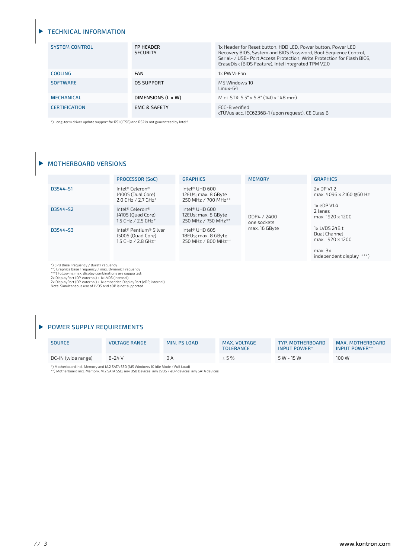#### TECHNICAL INFORMATION

| <b>SYSTEM CONTROL</b> | <b>FP HEADER</b><br><b>SECURITY</b> | 1x Header for Reset button, HDD LED, Power button, Power LED<br>Recovery BIOS, System and BIOS Password, Boot Sequence Control,<br>Serial- / USB- Port Access Protection, Write Protection for Flash BIOS,<br>EraseDisk (BIOS Feature), Intel integrated TPM V2.0 |
|-----------------------|-------------------------------------|-------------------------------------------------------------------------------------------------------------------------------------------------------------------------------------------------------------------------------------------------------------------|
| <b>COOLING</b>        | <b>FAN</b>                          | 1x PWM-Fan                                                                                                                                                                                                                                                        |
| <b>SOFTWARE</b>       | OS SUPPORT                          | MS Windows 10<br>Linux-64                                                                                                                                                                                                                                         |
| <b>MECHANICAL</b>     | DIMENSIONS (L x W)                  | Mini-STX: 5.5" x 5.8" (140 x 148 mm)                                                                                                                                                                                                                              |
| <b>CERTIFICATION</b>  | <b>EMC &amp; SAFETY</b>             | FCC-B verified<br>cTÜVus acc. IEC62368-1 (upon request), CE Class B                                                                                                                                                                                               |

\*) Long-term driver update support for RS1 (LTSB) and RS2 is not guaranteed by Intel®

#### $\blacktriangleright$  MOTHERBOARD VERSIONS

|          | PROCESSOR (SoC)                                                   | <b>GRAPHICS</b>                                                          | <b>MEMORY</b>              | <b>GRAPHICS</b>                                                                     |
|----------|-------------------------------------------------------------------|--------------------------------------------------------------------------|----------------------------|-------------------------------------------------------------------------------------|
| D3544-S1 | Intel® Celeron®<br>J4005 (Dual Core)<br>$2.0$ GHz / 2.7 GHz*      | Intel® UHD $600$<br>12EUs; max. 8 GByte<br>250 MHz / 700 MHz**           | DDR4 / 2400<br>one sockets | 2x DP V1.2<br>max. 4096 x 2160 @60 Hz<br>1x eDP V1.4<br>2 lanes<br>max. 1920 x 1200 |
| D3544-S2 | Intel® Celeron®<br>J4105 (Ouad Core)<br>1.5 GHz / 2.5 GHz*        | Intel® UHD $600$<br>12EUs; max. 8 GByte<br>250 MHz / 750 MHz**           |                            |                                                                                     |
| D3544-S3 | Intel® Pentium® Silver<br>J5005 (Ouad Core)<br>1.5 GHz / 2.8 GHz* | Intel <sup>®</sup> UHD 605<br>18EUs; max. 8 GByte<br>250 MHz / 800 MHz** | max. 16 GByte              | 1x LVDS 24Bit<br>Dual Channel<br>max. 1920 x 1200                                   |
|          |                                                                   |                                                                          |                            | max. 3x<br>independent display ***)                                                 |

\*) CPU Base Frequency / Burst Frequency<br>\*\*) Craphics Base Frequency / max. Dynamic Frequency<br>\*\*\*) Following max. display combinations are supported:<br>2x DisplayPort (DP, external) + 1x LVDS (internal)<br>2x DisplayPort (DP, ex

## **POWER SUPPLY REQUIREMENTS**

| <b>SOURCE</b>      | <b>VOLTAGE RANGE</b> | MIN. PS LOAD | MAX. VOLTAGE<br><b>TOLERANCE</b> | TYP. MOTHERBOARD<br>INPUT POWER* | MAX. MOTHERBOARD<br>INPUT POWER** |
|--------------------|----------------------|--------------|----------------------------------|----------------------------------|-----------------------------------|
| DC-IN (wide range) | $8 - 24V$            | ΩA           | ± 5%                             | $5 W - 15 W$                     | 100 W                             |

\*) Motherboard incl. Memory and M.2 SATA SSD (MS Windows 10 Idle Mode / Full Load) \*\*) Motherboard incl. Memory, M.2 SATA SSD, any USB Devices, any LVDS / eDP devices, any SATA devices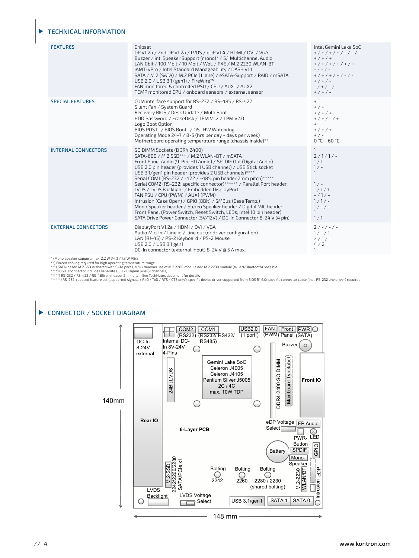#### TECHNICAL INFORMATION

| <b>FEATURES</b>                                                                                                                                                                                                                                                                                                                                                                                                                                                                                                                                                                                                                                                          | Chipset<br>DP V1.2a / 2nd DP V1.2a / LVDS / eDP V1.4 / HDMI / DVI / VGA<br>Buzzer / int. Speaker Support (mono)* / 5.1 Multichannel Audio<br>LAN Gbit / 100 Mbit / 10 Mbit / WoL / PXE / M.2 2230 WLAN-BT<br>iAMT-vPro / Intel Standard Manageability / DASH V1.1<br>SATA / M.2 (SATA) / M.2 PCIe (1 lane) / eSATA-Support / RAID / mSATA<br>USB 2.0 / USB 3.1 (gen1) / FireWire™<br>FAN monitored & controlled PSU / CPU / AUX1 / AUX2<br>TEMP monitored CPU / onboard sensors / external sensor                                                                                                                                                                                                                                                                                      | Intel Gemini Lake SoC<br>$+$ / + / + / + / - / - / -<br>$+$ / + / +<br>$+$ / + / + / + / + / +<br>$-/-/-$<br>$+$ / + / + / + / - / -<br>$+$ / + / -<br>$-$ / + / - / -<br>$+$ / + / - |  |
|--------------------------------------------------------------------------------------------------------------------------------------------------------------------------------------------------------------------------------------------------------------------------------------------------------------------------------------------------------------------------------------------------------------------------------------------------------------------------------------------------------------------------------------------------------------------------------------------------------------------------------------------------------------------------|----------------------------------------------------------------------------------------------------------------------------------------------------------------------------------------------------------------------------------------------------------------------------------------------------------------------------------------------------------------------------------------------------------------------------------------------------------------------------------------------------------------------------------------------------------------------------------------------------------------------------------------------------------------------------------------------------------------------------------------------------------------------------------------|---------------------------------------------------------------------------------------------------------------------------------------------------------------------------------------|--|
| <b>SPECIAL FEATURES</b>                                                                                                                                                                                                                                                                                                                                                                                                                                                                                                                                                                                                                                                  | COM interface support for RS-232 / RS-485 / RS-422<br>Silent Fan / System Guard<br>Recovery BIOS / Desk Update / Multi Boot<br>HDD Password / EraseDisk / TPM V1.2 / TPM V2.0<br>Logo Boot Option<br>BIOS POST- / BIOS Boot- / OS- HW Watchdog<br>Operating Mode 24-7 / 8-5 (hrs per day - days per week)<br>Motherboard operating temperature range (chassis inside)**                                                                                                                                                                                                                                                                                                                                                                                                                | $+$<br>$+$ / $+$<br>$+$ / + / +<br>$+$ / + / - / +<br>$+$<br>$+$ / + / +<br>$+$ / $-$<br>$0 °C - 60 °C$                                                                               |  |
| <b>INTERNAL CONNECTORS</b>                                                                                                                                                                                                                                                                                                                                                                                                                                                                                                                                                                                                                                               | SO DIMM Sockets (DDR4 2400)<br>SATA-600 / M.2 SSD*** / M.2 WLAN-BT / mSATA<br>Front Panel Audio (9-Pin, HD Audio) / SP-DIF Out (Digital Audio)<br>USB 2.0 pin header (provides 1 USB channel) / USB Stick socket<br>USB 3.1/gen1 pin header (provides 2 USB channels)****<br>Serial COM1 (RS-232 / -422 / -485; pin header 2mm pitch)*****<br>Serial COM2 (RS-232; specific connector)****** / Parallel Port header<br>LVDS / LVDS Backlight / Embedded DisplayPort<br>FAN PSU / CPU (PWM) / AUX1 (PWM)<br>Intrusion (Case Open) / GPIO (8Bit) / SMBus (Case Temp.)<br>Mono Speaker header / Stereo Speaker header / Digital MIC header<br>Front Panel (Power Switch, Reset Switch, LEDs, Intel 10 pin header)<br>SATA Drive Power Connector (5V/12V) / DC-In Connector 8-24 V (4 pin) | $\mathbf{1}$<br>$2/1/1/-$<br>1/1<br>$1/-$<br>$\mathbf{1}$<br>$\mathbf{1}$<br>$1/ -$<br>1/1/1<br>$-/1/-$<br>$1/1/-$<br>$1/-/-$<br>$\mathbf{1}$<br>1/1                                  |  |
| <b>EXTERNAL CONNECTORS</b>                                                                                                                                                                                                                                                                                                                                                                                                                                                                                                                                                                                                                                               | DisplayPort V1.2a / HDMI / DVI / VGA<br>Audio Mic. In / Line in / Line out (or driver configuration)<br>LAN (RJ-45) / PS-2 Keyboard / PS-2 Mouse<br>USB 2.0 / USB 3.1 gen1<br>DC-In connector (external input) 8-24 V @ 5 A max.                                                                                                                                                                                                                                                                                                                                                                                                                                                                                                                                                       | $2/-/-/ -$<br>$1/-/1$<br>$2/-/-$<br>4/2<br>1                                                                                                                                          |  |
| $^*$ ) Mono speaker support; max. 2.2 W @4 $\Omega$ / 1.3 W @8 $\Omega$<br>**) Forced cooling required for high operating temperature range.<br>***) SATA-based M.2 SSD is shared with SATA port 1; simultaneous use of M.2 2280 module and M.2 2230 module (WLAN/Bluetooth) possible<br>****) USB 3 connector includes separate USB 2.0 signal pins (2 channels)<br>*****) RS-232 / RS-422 / RS-485; pin header 2mm pitch. See TechNotes document for details<br>******) RS-232; reduced feature set (supported signals = RxD / TxD / RTS / CTS only); specific device driver supported from BIOS R1.6.0; specific connector cable (incl. RS-232 line driver) required. |                                                                                                                                                                                                                                                                                                                                                                                                                                                                                                                                                                                                                                                                                                                                                                                        |                                                                                                                                                                                       |  |

#### CONNECTOR / SOCKET DIAGRAM